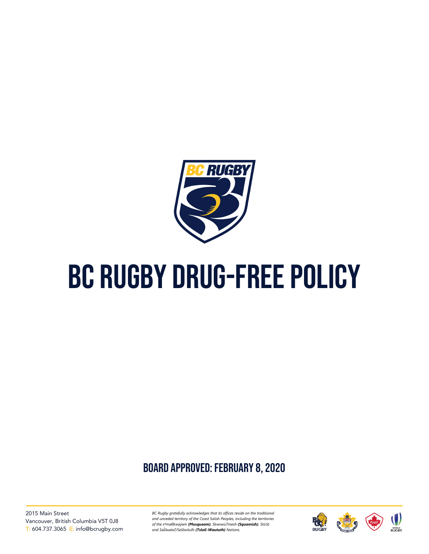

# BC RUGBY DRUG-FREE POLICY

board approved: February 8, 2020

2015 Main Street Vancouver, British Columbia V5T 0J8 T: 604.737.3065 E: info@bcrugby.com *BC Rugby gratefully acknowledges that its offices reside on the traditional and unceded territory of the Coast Salish Peoples, including the territories of the xʷməθkwəy̓əm (Musqueam), Skwxwú7mesh (Squamish), Stó:lō and Səl̓ ílwətaʔ/Selilwitulh (Tsleil-Waututh) Nations.*

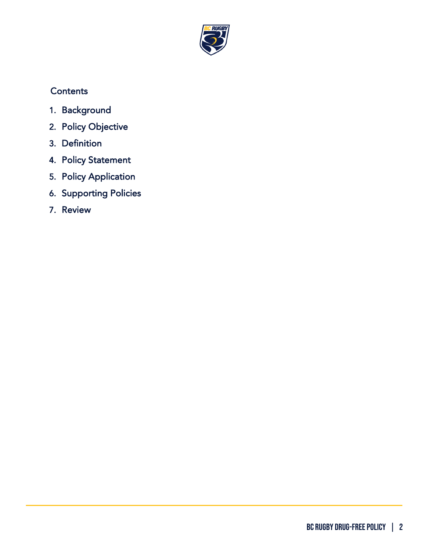

## **Contents**

- 1. [Background](#page-2-0)
- 2. [Policy Objective](#page-2-1)
- 3. [Definition](#page-2-2)
- 4. [Policy Statement](#page-2-3)
- 5. [Policy Application](#page-3-0)
- 6. [Supporting Policies](#page-3-1)
- 7. [Review](#page-4-0)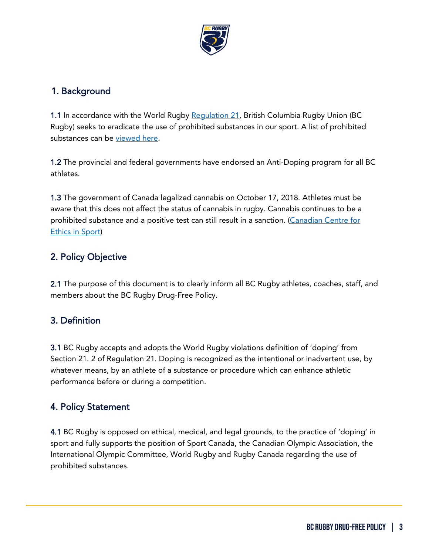

#### <span id="page-2-0"></span>1. Background

1.1 In accordance with the World Rugby [Regulation 21,](https://keeprugbyclean.worldrugby.org/downloads/Regulation_21_2019_EN.pdf) British Columbia Rugby Union (BC Rugby) seeks to eradicate the use of prohibited substances in our sport. A list of prohibited substances can be [viewed here.](https://cces.ca/banned-substances-and-methods)

1.2 The provincial and federal governments have endorsed an Anti-Doping program for all BC athletes.

1.3 The government of Canada legalized cannabis on October 17, 2018. Athletes must be aware that this does not affect the status of cannabis in rugby. Cannabis continues to be a prohibited substance and a positive test can still result in a sanction. (Canadian Centre for [Ethics in Sport\)](https://cces.ca/cannabis)

## <span id="page-2-1"></span>2. Policy Objective

2.1 The purpose of this document is to clearly inform all BC Rugby athletes, coaches, staff, and members about the BC Rugby Drug-Free Policy.

#### <span id="page-2-2"></span>3. Definition

3.1 BC Rugby accepts and adopts the World Rugby violations definition of 'doping' from Section 21. 2 of Regulation 21. Doping is recognized as the intentional or inadvertent use, by whatever means, by an athlete of a substance or procedure which can enhance athletic performance before or during a competition.

#### <span id="page-2-3"></span>4. Policy Statement

4.1 BC Rugby is opposed on ethical, medical, and legal grounds, to the practice of 'doping' in sport and fully supports the position of Sport Canada, the Canadian Olympic Association, the International Olympic Committee, World Rugby and Rugby Canada regarding the use of prohibited substances.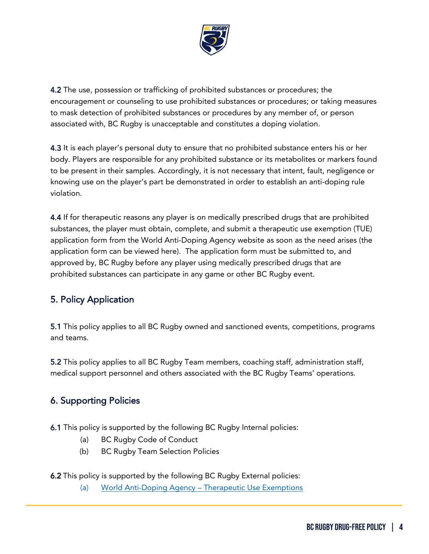

4.2 The use, possession or trafficking of prohibited substances or procedures; the encouragement or counseling to use prohibited substances or procedures; or taking measures to mask detection of prohibited substances or procedures by any member of, or person associated with, BC Rugby is unacceptable and constitutes a doping violation.

4.3 It is each player's personal duty to ensure that no prohibited substance enters his or her body. Players are responsible for any prohibited substance or its metabolites or markers found to be present in their samples. Accordingly, it is not necessary that intent, fault, negligence or knowing use on the player's part be demonstrated in order to establish an anti-doping rule violation.

4.4 If for therapeutic reasons any player is on medically prescribed drugs that are prohibited substances, the player must obtain, complete, and submit a therapeutic use exemption (TUE) application form from the World Anti-Doping Agency website as soon as the need arises (the application form can be viewed here). The application form must be submitted to, and approved by, BC Rugby before any player using medically prescribed drugs that are prohibited substances can participate in any game or other BC Rugby event.

## <span id="page-3-0"></span>5. Policy Application

5.1 This policy applies to all BC Rugby owned and sanctioned events, competitions, programs and teams.

5.2 This policy applies to all BC Rugby Team members, coaching staff, administration staff, medical support personnel and others associated with the BC Rugby Teams' operations.

#### <span id="page-3-1"></span>6. Supporting Policies

- 6.1 This policy is supported by the following BC Rugby Internal policies:
	- (a) BC Rugby Code of Conduct
	- (b) BC Rugby Team Selection Policies
- 6.2 This policy is supported by the following BC Rugby External policies:
	- (a) [World Anti-Doping Agency –](https://www.wada-ama.org/en/what-we-do/science-medical/therapeutic-use-exemptions) Therapeutic Use Exemptions